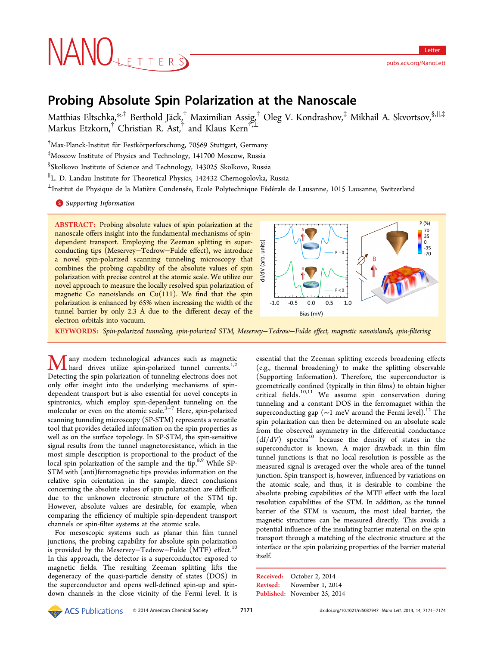# NANOLETTERS

# Probing Absolute Spin Polarization at the Nanoscale

Matthias Eltschka,[\\*](#page-3-0)<sup>,†</sup> Berthold Jäck, ⊤Maximilian Assig,† Oleg V. Kondrashov,‡ Mikhail A. Skvortsov,<sup>§,∥,‡</sup> Markus Etzkorn, $^{\dagger}$  Christian R. Ast, $^{\dagger}$  and Klaus Kern $^{\dagger,\perp}$ 

 $^\dagger$ Max-Planck-Institut für Festkörperforschung, 70569 Stuttgart, Germany

‡ Moscow Institute of Physics and Technology, 141700 Moscow, Russia

§ Skolkovo Institute of Science and Technology, 143025 Skolkovo, Russia

∥ L. D. Landau Institute for Theoretical Physics, 142432 Chernogolovka, Russia

<sup>⊥</sup>Institut de Physique de la Matière Condensée, Ecole Polytechnique Fédérale de Lausanne, 1015 Lausanne, Switzerland

**S** [Supporting Information](#page-2-0)

ABSTRACT: Probing absolute values of spin polarization at the nanoscale offers insight into the fundamental mechanisms of spindependent transport. Employing the Zeeman splitting in superconducting tips (Meservey−Tedrow−Fulde effect), we introduce a novel spin-polarized scanning tunneling microscopy that combines the probing capability of the absolute values of spin polarization with precise control at the atomic scale. We utilize our novel approach to measure the locally resolved spin polarization of magnetic Co nanoislands on Cu(111). We find that the spin polarization is enhanced by 65% when increasing the width of the tunnel barrier by only 2.3 Å due to the different decay of the electron orbitals into vacuum.



KEYWORDS: Spin-polarized tunneling, spin-polarized STM, Meservey−Tedrow−Fulde effect, magnetic nanoislands, spin-filtering

M any modern technological advances such as magne[tic](#page-3-0)<br>hard drives utilize spin-polarized tunnel currents.<sup>1,2</sup><br>Detecting the spin polarization of tunneling electrons does not Detecting the spin polarization of tunneling electrons does not only offer insight into the underlying mechanisms of spindependent transport but is also essential for novel concepts in spintronics, which employ spin-dependent tunneling on the molecular or even on the atomic scale.<sup>[3](#page-3-0)-[7](#page-3-0)</sup> Here, spin-polarized scanning tunneling microscopy (SP-STM) represents a versatile tool that provides detailed information on the spin properties as well as on the surface topology. In SP-STM, the spin-sensitive signal results from the tunnel magnetoresistance, which in the most simple description is proportional to the product of the local spin polarization of the sample and the tip.<sup>[8](#page-3-0),[9](#page-3-0)</sup> While SP-STM with (anti)ferromagnetic tips provides information on the relative spin orientation in the sample, direct conclusions concerning the absolute values of spin polarization are difficult due to the unknown electronic structure of the STM tip. However, absolute values are desirable, for example, when comparing the efficiency of multiple spin-dependent transport channels or spin-filter systems at the atomic scale.

For mesoscopic systems such as planar thin film tunnel junctions, the probing capability for absolute spin polarization is provided by the Meservey−Tedrow−Fulde (MTF) effect.[10](#page-3-0) In this approach, the detector is a superconductor exposed to magnetic fields. The resulting Zeeman splitting lifts the degeneracy of the quasi-particle density of states (DOS) in the superconductor and opens well-defined spin-up and spindown channels in the close vicinity of the Fermi level. It is

essential that the Zeeman splitting exceeds broadening effects (e.g., thermal broadening) to make the splitting observable [\(Supporting Information](#page-2-0)). Therefore, the superconductor is geometrically confined (typically in thin films) to obtain higher critical fields.<sup>[10,11](#page-3-0)</sup> We assume spin conservation during tunneling and a constant DOS in the ferromagnet within the superconducting gap (~1 meV around the Fermi level).<sup>[12](#page-3-0)</sup> The spin polarization can then be determined on an absolute scale from the observed asymmetry in the differential conductance  $(dI/dV)$  spectra<sup>[10](#page-3-0)</sup> because the density of states in the superconductor is known. A major drawback in thin film tunnel junctions is that no local resolution is possible as the measured signal is averaged over the whole area of the tunnel junction. Spin transport is, however, influenced by variations on the atomic scale, and thus, it is desirable to combine the absolute probing capabilities of the MTF effect with the local resolution capabilities of the STM. In addition, as the tunnel barrier of the STM is vacuum, the most ideal barrier, the magnetic structures can be measured directly. This avoids a potential influence of the insulating barrier material on the spin transport through a matching of the electronic structure at the interface or the spin polarizing properties of the barrier material itself.

Received: October 2, 2014 Revised: November 1, 2014 Published: November 25, 2014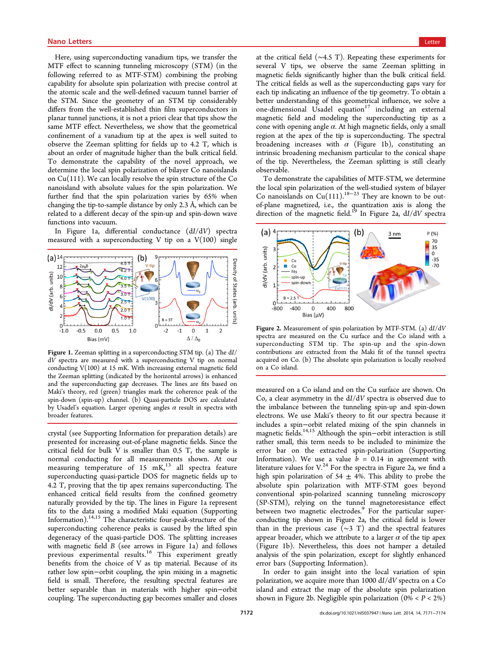Here, using superconducting vanadium tips, we transfer the MTF effect to scanning tunneling microscopy (STM) (in the following referred to as MTF-STM) combining the probing capability for absolute spin polarization with precise control at the atomic scale and the well-defined vacuum tunnel barrier of the STM. Since the geometry of an STM tip considerably differs from the well-established thin film superconductors in planar tunnel junctions, it is not a priori clear that tips show the same MTF effect. Nevertheless, we show that the geometrical confinement of a vanadium tip at the apex is well suited to observe the Zeeman splitting for fields up to 4.2 T, which is about an order of magnitude higher than the bulk critical field. To demonstrate the capability of the novel approach, we determine the local spin polarization of bilayer Co nanoislands on Cu(111). We can locally resolve the spin structure of the Co nanoisland with absolute values for the spin polarization. We further find that the spin polarization varies by 65% when changing the tip-to-sample distance by only 2.3 Å, which can be related to a different decay of the spin-up and spin-down wave functions into vacuum.

In Figure 1a, differential conductance (dI/dV) spectra measured with a superconducting V tip on a  $V(100)$  single



Figure 1. Zeeman splitting in a superconducting STM tip. (a) The dI/ dV spectra are measured with a superconducting V tip on normal conducting V(100) at 15 mK. With increasing external magnetic field the Zeeman splitting (indicated by the horizontal arrows) is enhanced and the superconducting gap decreases. The lines are fits based on Maki's theory, red (green) triangles mark the coherence peak of the spin-down (spin-up) channel. (b) Quasi-particle DOS are calculated by Usadel's equation. Larger opening angles  $\alpha$  result in spectra with broader features.

crystal (see [Supporting Information](#page-2-0) for preparation details) are presented for increasing out-of-plane magnetic fields. Since the critical field for bulk  $\tilde{V}$  is smaller than 0.5 T, the sample is normal conducting for all measurements shown. At our measuring temperature of  $15 \text{ mK}$ ,<sup>[13](#page-3-0)</sup> all spectra feature superconducting quasi-particle DOS for magnetic fields up to 4.2 T, proving that the tip apex remains superconducting. The enhanced critical field results from the confined geometry naturally provided by the tip. The lines in Figure 1a represent fits to the data using a modified Maki equation [\(Supporting](#page-2-0) [Information\)](#page-2-0).[14,15](#page-3-0) The characteristic four-peak-structure of the superconducting coherence peaks is caused by the lifted spin degeneracy of the quasi-particle DOS. The splitting increases with magnetic field  $B$  (see arrows in Figure 1a) and follows previous experimental results.<sup>[16](#page-3-0)</sup> This experiment greatly benefits from the choice of V as tip material. Because of its rather low spin−orbit coupling, the spin mixing in a magnetic field is small. Therefore, the resulting spectral features are better separable than in materials with higher spin−orbit coupling. The superconducting gap becomes smaller and closes

at the critical field (∼4.5 T). Repeating these experiments for several V tips, we observe the same Zeeman splitting in magnetic fields significantly higher than the bulk critical field. The critical fields as well as the superconducting gaps vary for each tip indicating an influence of the tip geometry. To obtain a better understanding of this geometrical influence, we solve a one-dimensional Usadel equation $17$  including an external magnetic field and modeling the superconducting tip as a cone with opening angle  $\alpha$ . At high magnetic fields, only a small region at the apex of the tip is superconducting. The spectral broadening increases with  $\alpha$  (Figure 1b), constituting an intrinsic broadening mechanism particular to the conical shape of the tip. Nevertheless, the Zeeman splitting is still clearly observable.

To demonstrate the capabilities of MTF-STM, we determine the local spin polarization of the well-studied system of bilayer Co nanoislands on Cu(111).<sup>[18](#page-3-0)−[23](#page-3-0)</sup> They are known to be outof-plane magnetized, i.e., the quantization axis is along the direction of the magnetic field.<sup>[19](#page-3-0)</sup> In Figure 2a, dI/dV spectra



Figure 2. Measurement of spin polarization by MTF-STM. (a) dI/dV spectra are measured on the Cu surface and the Co island with a superconducting STM tip. The spin-up and the spin-down contributions are extracted from the Maki fit of the tunnel spectra acquired on Co. (b) The absolute spin polarization is locally resolved on a Co island.

measured on a Co island and on the Cu surface are shown. On Co, a clear asymmetry in the dI/dV spectra is observed due to the imbalance between the tunneling spin-up and spin-down electrons. We use Maki's theory to fit our spectra because it includes a spin−orbit related mixing of the spin channels in magnetic fields.[14](#page-3-0),[15](#page-3-0) Although the spin−orbit interaction is still rather small, this term needs to be included to minimize the error bar on the extracted spin-polarization ([Supporting](#page-2-0) [Information\)](#page-2-0). We use a value  $\bar{b} = 0.14$  in agreement with literature values for  $V^{24}$  $V^{24}$  $V^{24}$  For the spectra in Figure 2a, we find a high spin polarization of 54  $\pm$  4%. This ability to probe the absolute spin polarization with MTF-STM goes beyond conventional spin-polarized scanning tunneling microscopy (SP-STM), relying on the tunnel magnetoresistance effect between two magnetic electrodes.<sup>[9](#page-3-0)</sup> For the particular superconducting tip shown in Figure 2a, the critical field is lower than in the previous case (∼3 T) and the spectral features appear broader, which we attribute to a larger  $\alpha$  of the tip apex (Figure 1b). Nevertheless, this does not hamper a detailed analysis of the spin polarization, except for slightly enhanced error bars [\(Supporting Information](#page-2-0)).

In order to gain insight into the local variation of spin polarization, we acquire more than 1000 dI/dV spectra on a Co island and extract the map of the absolute spin polarization shown in Figure 2b. Negligible spin polarization  $(0\% < P < 2\%)$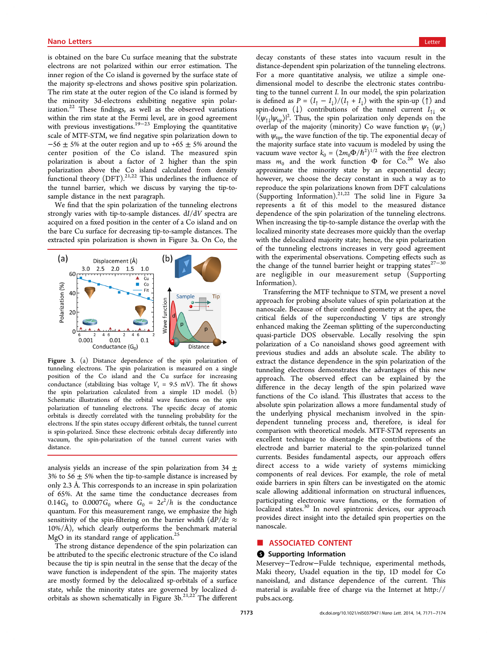<span id="page-2-0"></span>is obtained on the bare Cu surface meaning that the substrate electrons are not polarized within our error estimation. The inner region of the Co island is governed by the surface state of the majority sp-electrons and shows positive spin polarization. The rim state at the outer region of the Co island is formed by the minority 3d-electrons exhibiting negative spin polarization. $^{22}$  $^{22}$  $^{22}$  These findings, as well as the observed variations within the rim state at the Fermi level, are in good agreement with previous investigations.<sup>[19](#page-3-0)−[23](#page-3-0)</sup> Employing the quantitative scale of MTF-STM, we find negative spin polarization down to  $-56 \pm 5%$  at the outer region and up to +65  $\pm$  5% around the center position of the Co island. The measured spin polarization is about a factor of 2 higher than the spin polarization above the Co island calculated from density functional theory  $(DFT)$ <sup>[21](#page-3-0),[22](#page-3-0)</sup> This underlines the influence of the tunnel barrier, which we discuss by varying the tip-tosample distance in the next paragraph.

We find that the spin polarization of the tunneling electrons strongly varies with tip-to-sample distances. dI/dV spectra are acquired on a fixed position in the center of a Co island and on the bare Cu surface for decreasing tip-to-sample distances. The extracted spin polarization is shown in Figure 3a. On Co, the



Figure 3. (a) Distance dependence of the spin polarization of tunneling electrons. The spin polarization is measured on a single position of the Co island and the Cu surface for increasing conductance (stabilizing bias voltage  $V_s = 9.5$  mV). The fit shows the spin polarization calculated from a simple 1D model. (b) Schematic illustrations of the orbital wave functions on the spin polarization of tunneling electrons. The specific decay of atomic orbitals is directly correlated with the tunneling probability for the electrons. If the spin states occupy different orbitals, the tunnel current is spin-polarized. Since these electronic orbitals decay differently into vacuum, the spin-polarization of the tunnel current varies with distance.

analysis yields an increase of the spin polarization from 34  $\pm$ 3% to  $56 \pm 5$ % when the tip-to-sample distance is increased by only 2.3 Å. This corresponds to an increase in spin polarization of 65%. At the same time the conductance decreases from 0.14 $G_0$  to 0.0007 $G_0$  where  $G_0 = 2e^2/h$  is the conductance quantum. For this measurement range, we emphasize the high sensitivity of the spin-filtering on the barrier width  $(dP/dz \approx$  $10\%$ /Å), which clearly outperforms the benchmark material MgO in its standard range of application.<sup>[25](#page-3-0)</sup>

The strong distance dependence of the spin polarization can be attributed to the specific electronic structure of the Co island because the tip is spin neutral in the sense that the decay of the wave function is independent of the spin. The majority states are mostly formed by the delocalized sp-orbitals of a surface state, while the minority states are governed by localized d-orbitals as shown schematically in Figure 3b.<sup>[21,22](#page-3-0)</sup> The different

decay constants of these states into vacuum result in the distance-dependent spin polarization of the tunneling electrons. For a more quantitative analysis, we utilize a simple onedimensional model to describe the electronic states contributing to the tunnel current I. In our model, the spin polarization is defined as  $P = (I_1 - I_1)/(I_1 + I_1)$  with the spin-up (†) and spin-down (↓) contributions of the tunnel current  $I_{\uparrow\downarrow} \propto$  $|\langle \psi_{\uparrow\downarrow}|\psi_{\text{tip}}\rangle|^2$ . Thus, the spin polarization only depends on the overlap of the majority (minority) Co wave function  $\psi_{\uparrow}(\psi_{\downarrow})$ with  $\psi_{\text{tip}}$ , the wave function of the tip. The exponential decay of the majority surface state into vacuum is modeled by using the vacuum wave vector  $k_0 = (2m_0\Phi/\hbar^2)^{1/2}$  with the free electron mass  $m_0$  and the work function  $\Phi$  for Co.<sup>[26](#page-3-0)</sup> We also approximate the minority state by an exponential decay; however, we choose the decay constant in such a way as to reproduce the spin polarizations known from DFT calculations (Supporting Information).[21,22](#page-3-0) The solid line in Figure 3a represents a fit of this model to the measured distance dependence of the spin polarization of the tunneling electrons. When increasing the tip-to-sample distance the overlap with the localized minority state decreases more quickly than the overlap with the delocalized majority state; hence, the spin polarization of the tunneling electrons increases in very good agreement with the experimental observations. Competing effects such as the change of the tunnel barrier height or trapping states<sup>[27](#page-3-0)</sup> are negligible in our measurement setup (Supporting Information).

Transferring the MTF technique to STM, we present a novel approach for probing absolute values of spin polarization at the nanoscale. Because of their confined geometry at the apex, the critical fields of the superconducting V tips are strongly enhanced making the Zeeman splitting of the superconducting quasi-particle DOS observable. Locally resolving the spin polarization of a Co nanoisland shows good agreement with previous studies and adds an absolute scale. The ability to extract the distance dependence in the spin polarization of the tunneling electrons demonstrates the advantages of this new approach. The observed effect can be explained by the difference in the decay length of the spin polarized wave functions of the Co island. This illustrates that access to the absolute spin polarization allows a more fundamental study of the underlying physical mechanism involved in the spindependent tunneling process and, therefore, is ideal for comparison with theoretical models. MTF-STM represents an excellent technique to disentangle the contributions of the electrode and barrier material to the spin-polarized tunnel currents. Besides fundamental aspects, our approach offers direct access to a wide variety of systems mimicking components of real devices. For example, the role of metal oxide barriers in spin filters can be investigated on the atomic scale allowing additional information on structural influences, participating electronic wave functions, or the formation of localized states.<sup>[30](#page-3-0)</sup> In novel spintronic devices, our approach provides direct insight into the detailed spin properties on the nanoscale.

# ■ ASSOCIATED CONTENT

#### **6** Supporting Information

Meservey−Tedrow−Fulde technique, experimental methods, Maki theory, Usadel equation in the tip, 1D model for Co nanoisland, and distance dependence of the current. This material is available free of charge via the Internet at [http://](http://pubs.acs.org) [pubs.acs.org](http://pubs.acs.org).